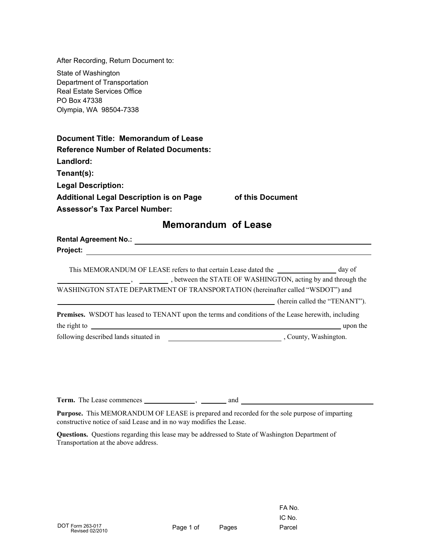| After Recording, Return Document to:                                                                |                                                              |
|-----------------------------------------------------------------------------------------------------|--------------------------------------------------------------|
| State of Washington                                                                                 |                                                              |
| Department of Transportation                                                                        |                                                              |
| <b>Real Estate Services Office</b>                                                                  |                                                              |
| PO Box 47338                                                                                        |                                                              |
| Olympia, WA 98504-7338                                                                              |                                                              |
| Document Title: Memorandum of Lease                                                                 |                                                              |
| <b>Reference Number of Related Documents:</b>                                                       |                                                              |
| Landlord:                                                                                           |                                                              |
| Tenant(s):                                                                                          |                                                              |
| <b>Legal Description:</b>                                                                           |                                                              |
| <b>Additional Legal Description is on Page</b>                                                      | of this Document                                             |
| <b>Assessor's Tax Parcel Number:</b>                                                                |                                                              |
| <b>Memorandum of Lease</b>                                                                          |                                                              |
|                                                                                                     |                                                              |
| Project:<br>the contract of the contract of the contract of the contract of the contract of         |                                                              |
| This MEMORANDUM OF LEASE refers to that certain Lease dated the _______________ day of              | , between the STATE OF WASHINGTON, acting by and through the |
| WASHINGTON STATE DEPARTMENT OF TRANSPORTATION (hereinafter called "WSDOT") and                      |                                                              |
|                                                                                                     | (herein called the "TENANT").                                |
| Premises. WSDOT has leased to TENANT upon the terms and conditions of the Lease herewith, including |                                                              |
|                                                                                                     | upon the                                                     |
| following described lands situated in                                                               | , County, Washington.                                        |
|                                                                                                     |                                                              |

**Term.** The Lease commences  $\frac{1}{\sqrt{1-\frac{1}{2}}}\frac{1}{\sqrt{1-\frac{1}{2}}}\$  and  $\frac{1}{2}$ 

**Purpose.** This MEMORANDUM OF LEASE is prepared and recorded for the sole purpose of imparting constructive notice of said Lease and in no way modifies the Lease.

**Questions.** Questions regarding this lease may be addressed to State of Washington Department of Transportation at the above address.

FA No. IC No.

▃